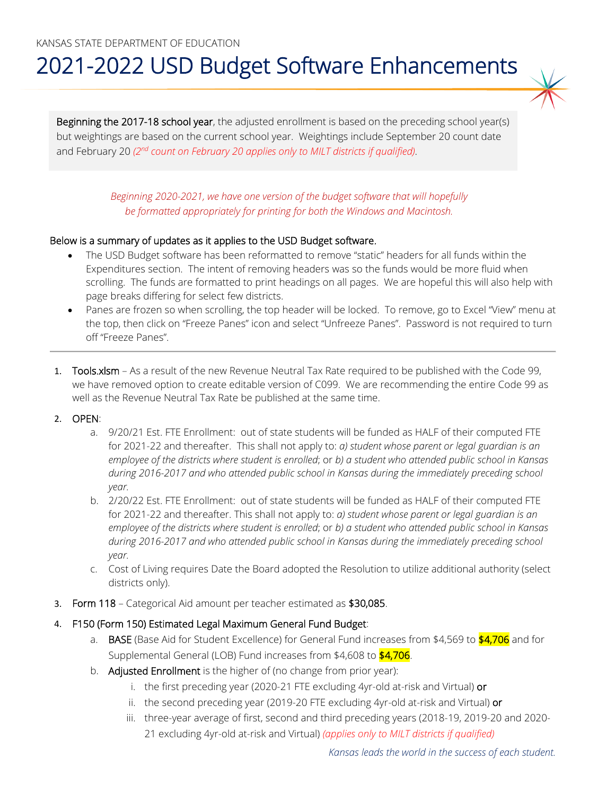# 2021-2022 USD Budget Software Enhancements

Beginning the 2017-18 school year, the adjusted enrollment is based on the preceding school year(s) but weightings are based on the current school year. Weightings include September 20 count date and February 20 *(2nd count on February 20 applies only to MILT districts if qualified)*.

> *Beginning 2020-2021, we have one version of the budget software that will hopefully be formatted appropriately for printing for both the Windows and Macintosh.*

## Below is a summary of updates as it applies to the USD Budget software.

- The USD Budget software has been reformatted to remove "static" headers for all funds within the Expenditures section. The intent of removing headers was so the funds would be more fluid when scrolling. The funds are formatted to print headings on all pages. We are hopeful this will also help with page breaks differing for select few districts.
- Panes are frozen so when scrolling, the top header will be locked. To remove, go to Excel "View" menu at the top, then click on "Freeze Panes" icon and select "Unfreeze Panes". Password is not required to turn off "Freeze Panes".
- 1. Tools.xlsm As a result of the new Revenue Neutral Tax Rate required to be published with the Code 99, we have removed option to create editable version of C099. We are recommending the entire Code 99 as well as the Revenue Neutral Tax Rate be published at the same time.

## 2. OPEN:

- a. 9/20/21 Est. FTE Enrollment: out of state students will be funded as HALF of their computed FTE for 2021-22 and thereafter. This shall not apply to: *a) student whose parent or legal guardian is an employee of the districts where student is enrolled*; or *b) a student who attended public school in Kansas during 2016-2017 and who attended public school in Kansas during the immediately preceding school year.*
- b. 2/20/22 Est. FTE Enrollment: out of state students will be funded as HALF of their computed FTE for 2021-22 and thereafter. This shall not apply to: *a) student whose parent or legal guardian is an employee of the districts where student is enrolled*; or *b) a student who attended public school in Kansas during 2016-2017 and who attended public school in Kansas during the immediately preceding school year.*
- c. Cost of Living requires Date the Board adopted the Resolution to utilize additional authority (select districts only).
- 3. Form 118 Categorical Aid amount per teacher estimated as \$30,085.
- 4. F150 (Form 150) Estimated Legal Maximum General Fund Budget:
	- a. BASE (Base Aid for Student Excellence) for General Fund increases from \$4,569 to \$4,706 and for Supplemental General (LOB) Fund increases from \$4,608 to \$4,706.
	- b. Adjusted Enrollment is the higher of (no change from prior year):
		- i. the first preceding year (2020-21 FTE excluding 4yr-old at-risk and Virtual) or
		- ii. the second preceding year (2019-20 FTE excluding 4yr-old at-risk and Virtual) or
		- iii. three-year average of first, second and third preceding years (2018-19, 2019-20 and 2020- 21 excluding 4yr-old at-risk and Virtual) *(applies only to MILT districts if qualified)*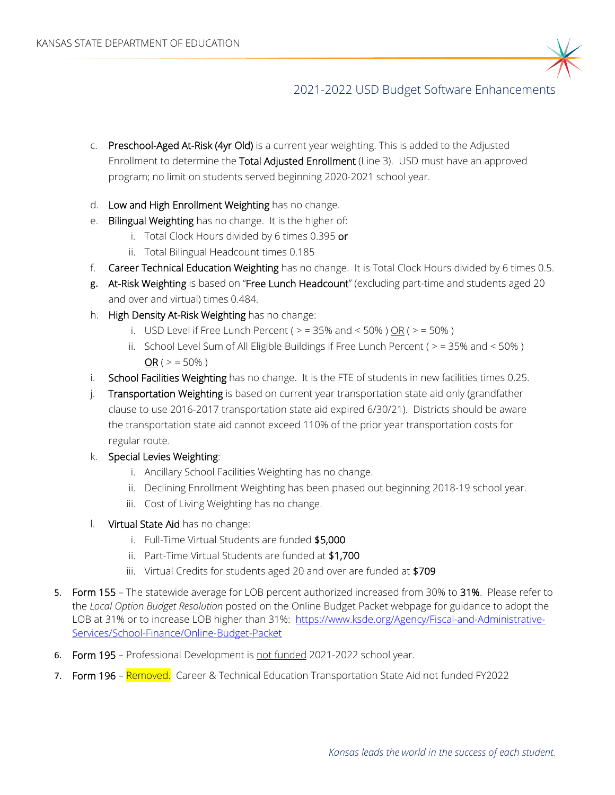

# 2021-2022 USD Budget Software Enhancements

- c. Preschool-Aged At-Risk (4yr Old) is a current year weighting. This is added to the Adjusted Enrollment to determine the Total Adjusted Enrollment (Line 3). USD must have an approved program; no limit on students served beginning 2020-2021 school year.
- d. Low and High Enrollment Weighting has no change.
- e. Bilingual Weighting has no change. It is the higher of:
	- i. Total Clock Hours divided by 6 times 0.395 or
	- ii. Total Bilingual Headcount times 0.185
- f. Career Technical Education Weighting has no change. It is Total Clock Hours divided by 6 times 0.5.
- g. At-Risk Weighting is based on "Free Lunch Headcount" (excluding part-time and students aged 20 and over and virtual) times 0.484.
- h. High Density At-Risk Weighting has no change:
	- i. USD Level if Free Lunch Percent ( $>$  = 35% and < 50% ) OR ( $>$  = 50% )
	- ii. School Level Sum of All Eligible Buildings if Free Lunch Percent ( $>$  = 35% and < 50%)  $OR$  (  $>$  = 50% )
- i. School Facilities Weighting has no change. It is the FTE of students in new facilities times 0.25.
- j. Transportation Weighting is based on current year transportation state aid only (grandfather clause to use 2016-2017 transportation state aid expired 6/30/21). Districts should be aware the transportation state aid cannot exceed 110% of the prior year transportation costs for regular route.
- k. Special Levies Weighting:
	- i. Ancillary School Facilities Weighting has no change.
	- ii. Declining Enrollment Weighting has been phased out beginning 2018-19 school year.
	- iii. Cost of Living Weighting has no change.
- l. Virtual State Aid has no change:
	- i. Full-Time Virtual Students are funded \$5,000
	- ii. Part-Time Virtual Students are funded at \$1,700
	- iii. Virtual Credits for students aged 20 and over are funded at \$709
- 5. Form 155 The statewide average for LOB percent authorized increased from 30% to 31%. Please refer to the *Local Option Budget Resolution* posted on the Online Budget Packet webpage for guidance to adopt the LOB at 31% or to increase LOB higher than 31%: [https://www.ksde.org/Agency/Fiscal-and-Administrative-](https://www.ksde.org/Agency/Fiscal-and-Administrative-Services/School-Finance/Online-Budget-Packet)[Services/School-Finance/Online-Budget-Packet](https://www.ksde.org/Agency/Fiscal-and-Administrative-Services/School-Finance/Online-Budget-Packet)
- 6. Form 195 Professional Development is not funded 2021-2022 school year.
- 7. Form 196 Removed. Career & Technical Education Transportation State Aid not funded FY2022